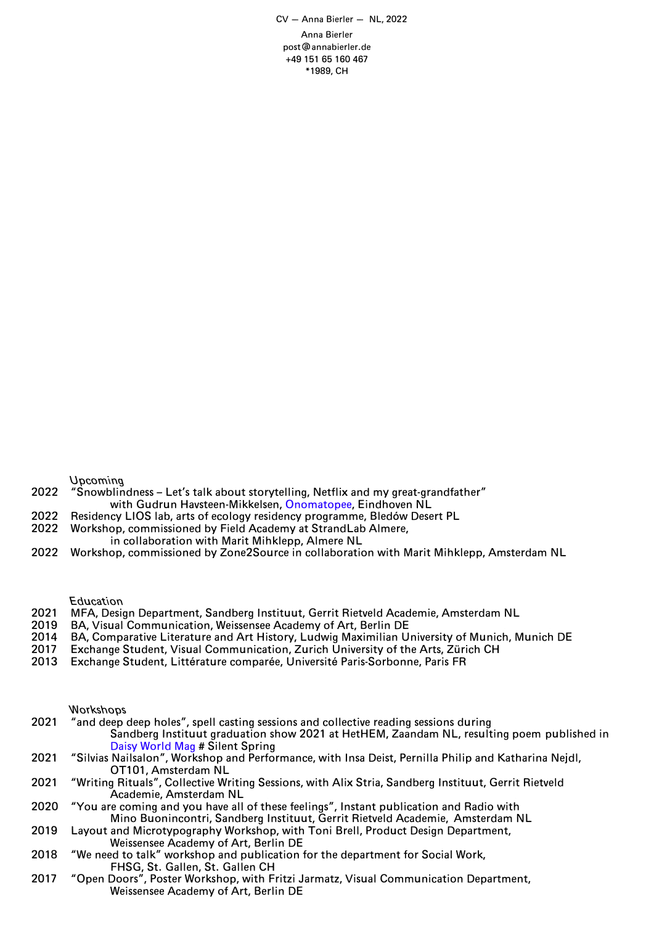CV — Anna Bierler — NL, 2022 Anna Bierler post@annabierler.de +49 151 65 160 467 \*1989, CH

Upcoming

- 2022 "Snowblindness Let's talk about storytelling, Netflix and my great-grandfather" with Gudrun Havsteen-Mikkelsen, [Onomatopee](https://www.onomatopee.net/product/snowblindness/), Eindhoven NL
- 2022 Residency LIOS lab, arts of ecology residency programme, Bledów Desert PL<br>2022 Morkshop, commissioned by Field Academy at StrandLab Almere.
- Workshop, commissioned by Field Academy at StrandLab Almere,
	- in collaboration with Marit Mihklepp, Almere NL
- 2022 Workshop, commissioned by Zone2Source in collaboration with Marit Mihklepp, Amsterdam NL

**Education** 

- 2021 MFA, Design Department, Sandberg Instituut, Gerrit Rietveld Academie, Amsterdam NL
- 2019 BA, Visual Communication, Weissensee Academy of Art, Berlin DE
- 2014 BA, Comparative Literature and Art History, Ludwig Maximilian University of Munich, Munich DE<br>2017 Exchange Student, Visual Communication, Zurich University of the Arts, Zürich CH
- Exchange Student, Visual Communication, Zurich University of the Arts, Zürich CH
- 2013 Exchange Student, Littérature comparée, Université Paris-Sorbonne, Paris FR

## Workshops

- 2021 "and deep deep holes", spell casting sessions and collective reading sessions during Sandberg Instituut graduation show 2021 at HetHEM, Zaandam NL, resulting poem published in Daisy [World](https://www.instagram.com/daisyworldmag/) Mag # Silent Spring
- 2021 "Silvias Nailsalon", Workshop and Performance, with Insa Deist, Pernilla Philip and Katharina Nejdl, OT101, Amsterdam NL
- 2021 "Writing Rituals", Collective Writing Sessions, with Alix Stria, Sandberg Instituut, Gerrit Rietveld Academie, Amsterdam NL
- 2020 "You are coming and you have all of these feelings", Instant publication and Radio with Mino Buonincontri, Sandberg Instituut, Gerrit Rietveld Academie, Amsterdam NL
- 2019 Layout and Microtypography Workshop, with Toni Brell, Product Design Department, Weissensee Academy of Art, Berlin DE
- 2018 "We need to talk" workshop and publication for the department for Social Work, FHSG, St. Gallen, St. Gallen CH
- 2017 "Open Doors", Poster Workshop, with Fritzi Jarmatz, Visual Communication Department, Weissensee Academy of Art, Berlin DE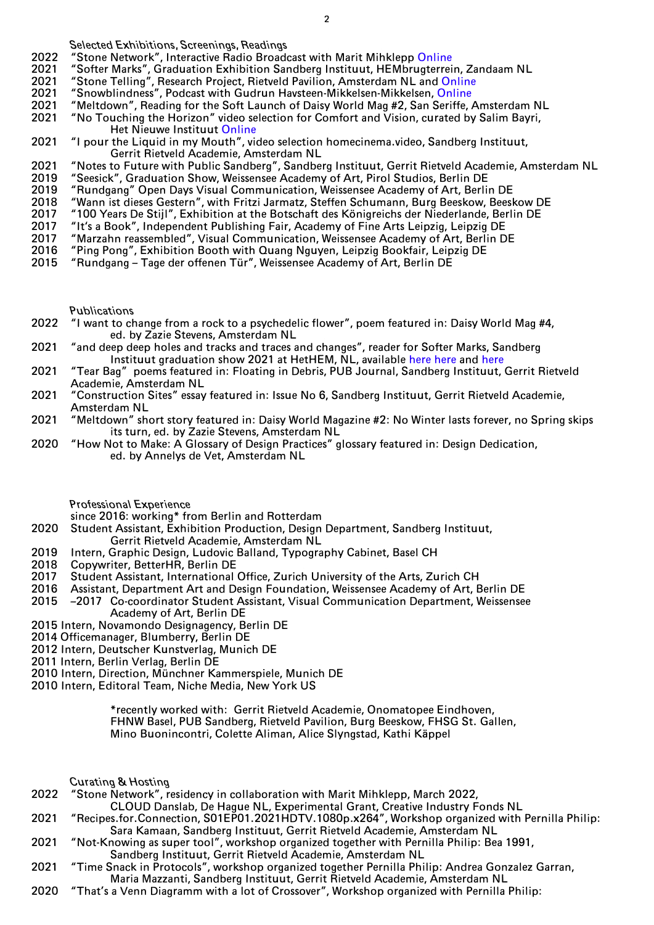Selected Exhibitions, Screenings, Readings

- 2022 *"Stone Network", Interactive Radio Broadcast with Marit Mihklepp [Online](https://www.mixcloud.com/good_times_bad_times/)*<br>2021 *"Softer Marks". Graduation Exhibition Sandberg Instituut. HEMbrugterrei*
- 2021 *"Softer Marks"*, Graduation Exhibition Sandberg Instituut, HEMbrugterrein, Zandaam NL<br>2021 *"Stone Telling"*, Research Project, Rietveld Pavilion, Amsterdam NL and Online
- "Stone Telling", Research Project, Rietveld Pavilion, Amsterdam NL and [Online](http://stone-telling.space)
- 2021 "Snowblindness", Podcast with Gudrun Havsteen-Mikkelsen-Mikkelsen, [Online](https://soundcloud.com/radio-rietveld/snowblindness-x-carmen-dusmet-carrasco)<br>2021 "Meltdown", Reading for the Soft Launch of Daisy World Mag #2, San Seriffe.
- 2021 Numer Corport Meltdown", Reading for the Soft Launch of Daisy World Mag #2, San Seriffe, Amsterdam NL<br>2021 No Touching the Horizon" video selection for Comfort and Vision, curated by Salim Bayri.
- "No Touching the Horizon" video selection for Comfort and Vision, curated by Salim Bayri, Het Nieuwe Instituut [Online](https://live.hetnieuweinstituut.nl/en/activities/comfort-and-vision)
- 2021 "I pour the Liquid in my Mouth", video selection homecinema.video, Sandberg Instituut, Gerrit Rietveld Academie, Amsterdam NL
- 2021 "Notes to Future with Public Sandberg", Sandberg Instituut, Gerrit Rietveld Academie, Amsterdam NL<br>2019 "Seesick", Graduation Show, Weissensee Academy of Art, Pirol Studios, Berlin DE
- 2019 "Seesick", Graduation Show, Weissensee Academy of Art, Pirol Studios, Berlin DE<br>2019 "Rundgang" Open Days Visual Communication, Weissensee Academy of Art, Berlin
- 2019 "Rundgang" Open Days Visual Communication, Weissensee Academy of Art, Berlin DE<br>2018 "Wann ist dieses Gestern", with Fritzi Jarmatz, Steffen Schumann, Burg Beeskow, Beesl
- 2018 "Wann ist dieses Gestern", with Fritzi Jarmatz, Steffen Schumann, Burg Beeskow, Beeskow DE
- 2017 "100 Years De Stijl", Exhibition at the Botschaft des Königreichs der Niederlande, Berlin DE<br>2017 "It's a Book", Independent Publishing Fair, Academy of Fine Arts Leipzig, Leipzig DE
- 2017 The Sook", Independent Publishing Fair, Academy of Fine Arts Leipzig, Leipzig DE<br>2017 Tharzahn reassembled", Visual Communication, Weissensee Academy of Art, Berlin D
- 2017 "Marzahn reassembled", Visual Communication, Weissensee Academy of Art, Berlin DE
- "Ping Pong", Exhibition Booth with Quang Nguyen, Leipzig Bookfair, Leipzig DE
- 2015 "Rundgang Tage der offenen Tür", Weissensee Academy of Art, Berlin DE

Publications

- 2022 "I want to change from a rock to a psychedelic flower", poem featured in: Daisy World Mag #4, ed. by Zazie Stevens, Amsterdam NL
- 2021 "and deep deep holes and tracks and traces and changes", reader for Softer Marks, Sandberg Instituut graduation show 2021 at HetHEM, NL, available [here](https://kioskrotterdam.com) [here](http://www.printroom.org) and [here](https://page-not-found.nl)
- 2021 "Tear Bag" poems featured in: Floating in Debris, PUB Journal, Sandberg Instituut, Gerrit Rietveld Academie, Amsterdam NL
- 2021 "Construction Sites" essay featured in: Issue No 6, Sandberg Instituut, Gerrit Rietveld Academie, Amsterdam NL
- 2021 "Meltdown" short story featured in: Daisy World Magazine #2: No Winter lasts forever, no Spring skips its turn, ed. by Zazie Stevens, Amsterdam NL
- 2020 "How Not to Make: A Glossary of Design Practices" glossary featured in: Design Dedication, ed. by Annelys de Vet, Amsterdam NL
	- Professional Experience
	- since 2016: working\* from Berlin and Rotterdam
- 2020 Student Assistant, Exhibition Production, Design Department, Sandberg Instituut, Gerrit Rietveld Academie, Amsterdam NL
- 2019 Intern, Graphic Design, Ludovic Balland, Typography Cabinet, Basel CH
- 2018 Copywriter, BetterHR, Berlin DE
- 2017 Student Assistant, International Office, Zurich University of the Arts, Zurich CH
- 2016 Assistant, Department Art and Design Foundation, Weissensee Academy of Art, Berlin DE
- 2015 –2017 Co-coordinator Student Assistant, Visual Communication Department, Weissensee Academy of Art, Berlin DE
- 2015 Intern, Novamondo Designagency, Berlin DE
- 2014 Officemanager, Blumberry, Berlin DE
- 2012 Intern, Deutscher Kunstverlag, Munich DE
- 2011 Intern, Berlin Verlag, Berlin DE
- 2010 Intern, Direction, Münchner Kammerspiele, Munich DE
- 2010 Intern, Editoral Team, Niche Media, New York US

 \*recently worked with: Gerrit Rietveld Academie, Onomatopee Eindhoven, FHNW Basel, PUB Sandberg, Rietveld Pavilion, Burg Beeskow, FHSG St. Gallen, Mino Buonincontri, Colette Aliman, Alice Slyngstad, Kathi Käppel

Curating & Hosting<br>2022 Stone Network". r

- "Stone Network", residency in collaboration with Marit Mihklepp, March 2022,
	- CLOUD Danslab, De Hague NL, Experimental Grant, Creative Industry Fonds NL
- 2021 "Recipes.for.Connection, S01EP01.2021HDTV.1080p.x264", Workshop organized with Pernilla Philip: Sara Kamaan, Sandberg Instituut, Gerrit Rietveld Academie, Amsterdam NL
- 2021 "Not-Knowing as super tool", workshop organized together with Pernilla Philip: Bea 1991,
- Sandberg Instituut, Gerrit Rietveld Academie, Amsterdam NL
- 2021 "Time Snack in Protocols", workshop organized together Pernilla Philip: Andrea Gonzalez Garran, Maria Mazzanti, Sandberg Instituut, Gerrit Rietveld Academie, Amsterdam NL
- 2020 "That's a Venn Diagramm with a lot of Crossover", Workshop organized with Pernilla Philip: